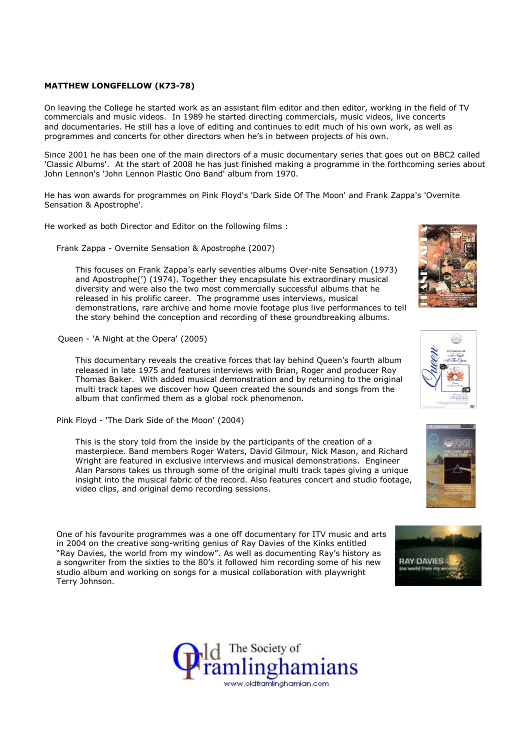## MATTHEW LONGFELLOW (K73-78)

On leaving the College he started work as an assistant film editor and then editor, working in the field of TV commercials and music videos. In 1989 he started directing commercials, music videos, live concerts and documentaries. He still has a love of editing and continues to edit much of his own work, as well as programmes and concerts for other directors when he's in between projects of his own.

Since 2001 he has been one of the main directors of a music documentary series that goes out on BBC2 called 'Classic Albums'. At the start of 2008 he has just finished making a programme in the forthcoming series about John Lennon's 'John Lennon Plastic Ono Band' album from 1970.

He has won awards for programmes on Pink Floyd's 'Dark Side Of The Moon' and Frank Zappa's 'Overnite Sensation & Apostrophe'.

He worked as both Director and Editor on the following films :

Frank Zappa - Overnite Sensation & Apostrophe (2007)

This focuses on Frank Zappa's early seventies albums Over-nite Sensation (1973) and Apostrophe(') (1974). Together they encapsulate his extraordinary musical diversity and were also the two most commercially successful albums that he released in his prolific career. The programme uses interviews, musical demonstrations, rare archive and home movie footage plus live performances to tell the story behind the conception and recording of these groundbreaking albums.

Queen - 'A Night at the Opera' (2005)

This documentary reveals the creative forces that lay behind Queen's fourth album released in late 1975 and features interviews with Brian, Roger and producer Roy Thomas Baker. With added musical demonstration and by returning to the original multi track tapes we discover how Queen created the sounds and songs from the album that confirmed them as a global rock phenomenon.

Pink Floyd - 'The Dark Side of the Moon' (2004)

This is the story told from the inside by the participants of the creation of a masterpiece. Band members Roger Waters, David Gilmour, Nick Mason, and Richard Wright are featured in exclusive interviews and musical demonstrations. Engineer Alan Parsons takes us through some of the original multi track tapes giving a unique insight into the musical fabric of the record. Also features concert and studio footage, video clips, and original demo recording sessions.

One of his favourite programmes was a one off documentary for ITV music and arts in 2004 on the creative song-writing genius of Ray Davies of the Kinks entitled "Ray Davies, the world from my window". As well as documenting Ray's history as a songwriter from the sixties to the 80's it followed him recording some of his new studio album and working on songs for a musical collaboration with playwright Terry Johnson.









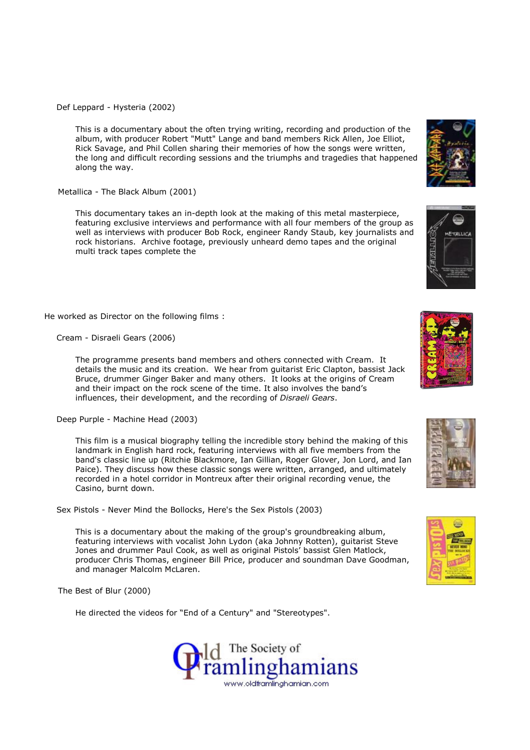Def Leppard - Hysteria (2002)

This is a documentary about the often trying writing, recording and production of the album, with producer Robert "Mutt" Lange and band members Rick Allen, Joe Elliot, Rick Savage, and Phil Collen sharing their memories of how the songs were written, the long and difficult recording sessions and the triumphs and tragedies that happened along the way.

Metallica - The Black Album (2001)

This documentary takes an in-depth look at the making of this metal masterpiece, featuring exclusive interviews and performance with all four members of the group as well as interviews with producer Bob Rock, engineer Randy Staub, key journalists and rock historians. Archive footage, previously unheard demo tapes and the original multi track tapes complete the

He worked as Director on the following films :

Cream - Disraeli Gears (2006)

The programme presents band members and others connected with Cream. It details the music and its creation. We hear from guitarist Eric Clapton, bassist Jack Bruce, drummer Ginger Baker and many others. It looks at the origins of Cream and their impact on the rock scene of the time. It also involves the band's influences, their development, and the recording of Disraeli Gears.

Deep Purple - Machine Head (2003)

This film is a musical biography telling the incredible story behind the making of this landmark in English hard rock, featuring interviews with all five members from the band's classic line up (Ritchie Blackmore, Ian Gillian, Roger Glover, Jon Lord, and Ian Paice). They discuss how these classic songs were written, arranged, and ultimately recorded in a hotel corridor in Montreux after their original recording venue, the Casino, burnt down.

Sex Pistols - Never Mind the Bollocks, Here's the Sex Pistols (2003)

This is a documentary about the making of the group's groundbreaking album, featuring interviews with vocalist John Lydon (aka Johnny Rotten), guitarist Steve Jones and drummer Paul Cook, as well as original Pistols' bassist Glen Matlock, producer Chris Thomas, engineer Bill Price, producer and soundman Dave Goodman, and manager Malcolm McLaren.

The Best of Blur (2000)

He directed the videos for "End of a Century" and "Stereotypes".